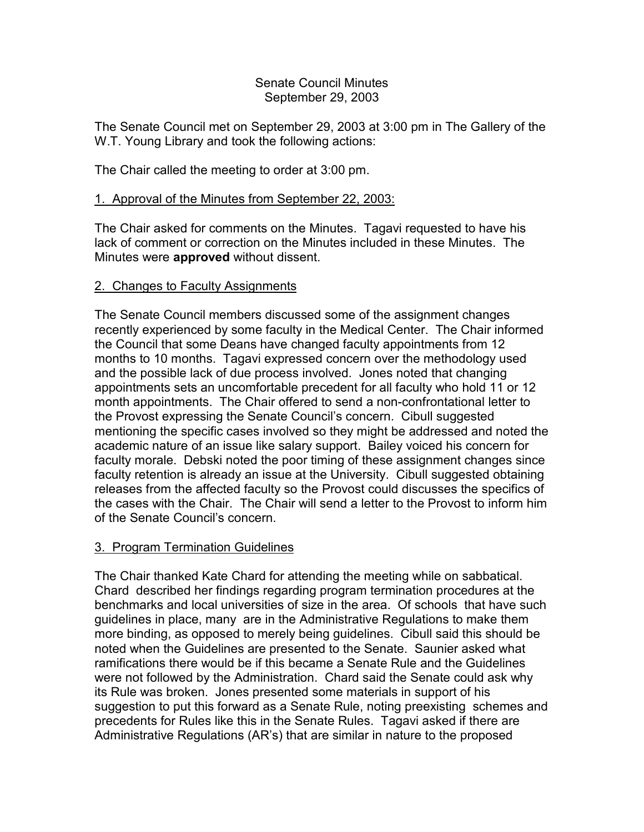## Senate Council Minutes September 29, 2003

The Senate Council met on September 29, 2003 at 3:00 pm in The Gallery of the W.T. Young Library and took the following actions:

The Chair called the meeting to order at 3:00 pm.

# 1. Approval of the Minutes from September 22, 2003:

The Chair asked for comments on the Minutes. Tagavi requested to have his lack of comment or correction on the Minutes included in these Minutes. The Minutes were **approved** without dissent.

# 2. Changes to Faculty Assignments

The Senate Council members discussed some of the assignment changes recently experienced by some faculty in the Medical Center. The Chair informed the Council that some Deans have changed faculty appointments from 12 months to 10 months. Tagavi expressed concern over the methodology used and the possible lack of due process involved. Jones noted that changing appointments sets an uncomfortable precedent for all faculty who hold 11 or 12 month appointments. The Chair offered to send a non-confrontational letter to the Provost expressing the Senate Council's concern. Cibull suggested mentioning the specific cases involved so they might be addressed and noted the academic nature of an issue like salary support. Bailey voiced his concern for faculty morale. Debski noted the poor timing of these assignment changes since faculty retention is already an issue at the University. Cibull suggested obtaining releases from the affected faculty so the Provost could discusses the specifics of the cases with the Chair. The Chair will send a letter to the Provost to inform him of the Senate Council's concern.

## 3. Program Termination Guidelines

The Chair thanked Kate Chard for attending the meeting while on sabbatical. Chard described her findings regarding program termination procedures at the benchmarks and local universities of size in the area. Of schools that have such guidelines in place, many are in the Administrative Regulations to make them more binding, as opposed to merely being guidelines. Cibull said this should be noted when the Guidelines are presented to the Senate. Saunier asked what ramifications there would be if this became a Senate Rule and the Guidelines were not followed by the Administration. Chard said the Senate could ask why its Rule was broken. Jones presented some materials in support of his suggestion to put this forward as a Senate Rule, noting preexisting schemes and precedents for Rules like this in the Senate Rules. Tagavi asked if there are Administrative Regulations (AR's) that are similar in nature to the proposed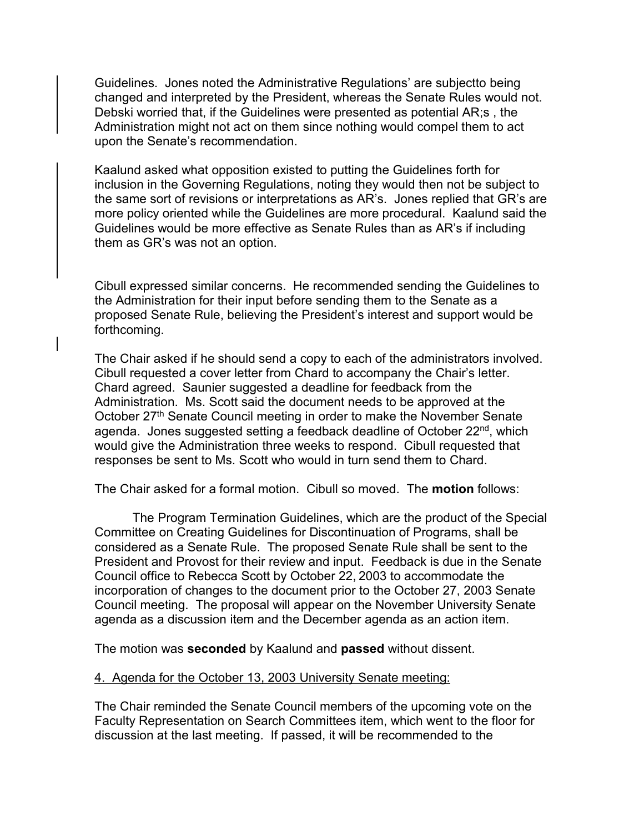Guidelines. Jones noted the Administrative Regulations' are subjectto being changed and interpreted by the President, whereas the Senate Rules would not. Debski worried that, if the Guidelines were presented as potential AR;s , the Administration might not act on them since nothing would compel them to act upon the Senate's recommendation.

Kaalund asked what opposition existed to putting the Guidelines forth for inclusion in the Governing Regulations, noting they would then not be subject to the same sort of revisions or interpretations as AR's. Jones replied that GR's are more policy oriented while the Guidelines are more procedural. Kaalund said the Guidelines would be more effective as Senate Rules than as AR's if including them as GR's was not an option.

Cibull expressed similar concerns. He recommended sending the Guidelines to the Administration for their input before sending them to the Senate as a proposed Senate Rule, believing the President's interest and support would be forthcoming.

The Chair asked if he should send a copy to each of the administrators involved. Cibull requested a cover letter from Chard to accompany the Chair's letter. Chard agreed. Saunier suggested a deadline for feedback from the Administration. Ms. Scott said the document needs to be approved at the October 27<sup>th</sup> Senate Council meeting in order to make the November Senate agenda. Jones suggested setting a feedback deadline of October 22<sup>nd</sup>, which would give the Administration three weeks to respond. Cibull requested that responses be sent to Ms. Scott who would in turn send them to Chard.

The Chair asked for a formal motion. Cibull so moved. The **motion** follows:

The Program Termination Guidelines, which are the product of the Special Committee on Creating Guidelines for Discontinuation of Programs, shall be considered as a Senate Rule. The proposed Senate Rule shall be sent to the President and Provost for their review and input. Feedback is due in the Senate Council office to Rebecca Scott by October 22, 2003 to accommodate the incorporation of changes to the document prior to the October 27, 2003 Senate Council meeting. The proposal will appear on the November University Senate agenda as a discussion item and the December agenda as an action item.

The motion was **seconded** by Kaalund and **passed** without dissent.

## 4. Agenda for the October 13, 2003 University Senate meeting:

The Chair reminded the Senate Council members of the upcoming vote on the Faculty Representation on Search Committees item, which went to the floor for discussion at the last meeting. If passed, it will be recommended to the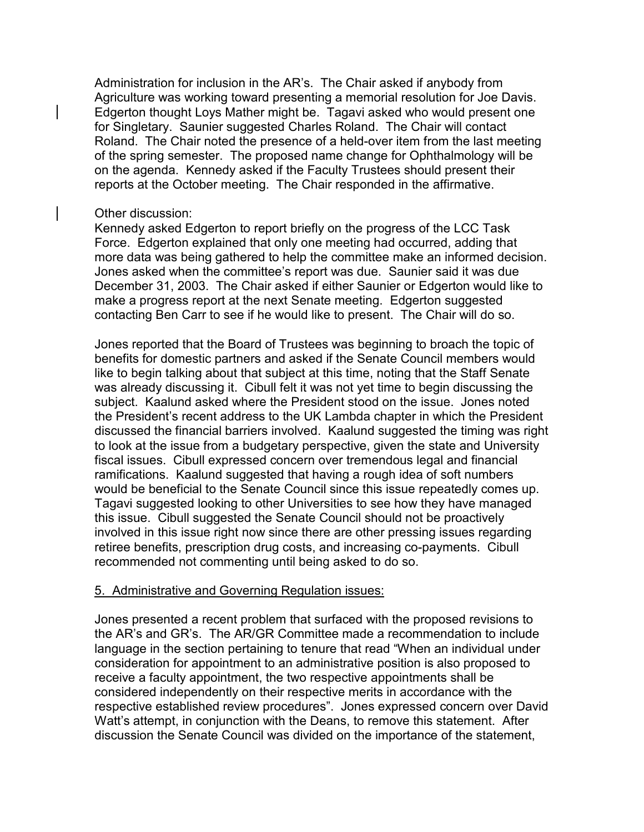Administration for inclusion in the AR's. The Chair asked if anybody from Agriculture was working toward presenting a memorial resolution for Joe Davis. Edgerton thought Loys Mather might be. Tagavi asked who would present one for Singletary. Saunier suggested Charles Roland. The Chair will contact Roland. The Chair noted the presence of a held-over item from the last meeting of the spring semester. The proposed name change for Ophthalmology will be on the agenda. Kennedy asked if the Faculty Trustees should present their reports at the October meeting. The Chair responded in the affirmative.

#### Other discussion:

Kennedy asked Edgerton to report briefly on the progress of the LCC Task Force. Edgerton explained that only one meeting had occurred, adding that more data was being gathered to help the committee make an informed decision. Jones asked when the committee's report was due. Saunier said it was due December 31, 2003. The Chair asked if either Saunier or Edgerton would like to make a progress report at the next Senate meeting. Edgerton suggested contacting Ben Carr to see if he would like to present. The Chair will do so.

Jones reported that the Board of Trustees was beginning to broach the topic of benefits for domestic partners and asked if the Senate Council members would like to begin talking about that subject at this time, noting that the Staff Senate was already discussing it. Cibull felt it was not yet time to begin discussing the subject. Kaalund asked where the President stood on the issue. Jones noted the President's recent address to the UK Lambda chapter in which the President discussed the financial barriers involved. Kaalund suggested the timing was right to look at the issue from a budgetary perspective, given the state and University fiscal issues. Cibull expressed concern over tremendous legal and financial ramifications. Kaalund suggested that having a rough idea of soft numbers would be beneficial to the Senate Council since this issue repeatedly comes up. Tagavi suggested looking to other Universities to see how they have managed this issue. Cibull suggested the Senate Council should not be proactively involved in this issue right now since there are other pressing issues regarding retiree benefits, prescription drug costs, and increasing co-payments. Cibull recommended not commenting until being asked to do so.

#### 5. Administrative and Governing Regulation issues:

Jones presented a recent problem that surfaced with the proposed revisions to the AR's and GR's. The AR/GR Committee made a recommendation to include language in the section pertaining to tenure that read "When an individual under consideration for appointment to an administrative position is also proposed to receive a faculty appointment, the two respective appointments shall be considered independently on their respective merits in accordance with the respective established review procedures". Jones expressed concern over David Watt's attempt, in conjunction with the Deans, to remove this statement. After discussion the Senate Council was divided on the importance of the statement,